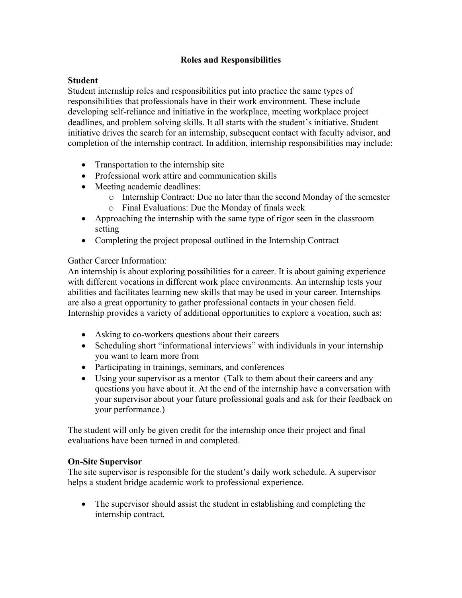## **Roles and Responsibilities**

### **Student**

Student internship roles and responsibilities put into practice the same types of responsibilities that professionals have in their work environment. These include developing self-reliance and initiative in the workplace, meeting workplace project deadlines, and problem solving skills. It all starts with the student's initiative. Student initiative drives the search for an internship, subsequent contact with faculty advisor, and completion of the internship contract. In addition, internship responsibilities may include:

- Transportation to the internship site
- Professional work attire and communication skills
- Meeting academic deadlines:
	- o Internship Contract: Due no later than the second Monday of the semester
	- o Final Evaluations: Due the Monday of finals week
- Approaching the internship with the same type of rigor seen in the classroom setting
- Completing the project proposal outlined in the Internship Contract

### Gather Career Information:

An internship is about exploring possibilities for a career. It is about gaining experience with different vocations in different work place environments. An internship tests your abilities and facilitates learning new skills that may be used in your career. Internships are also a great opportunity to gather professional contacts in your chosen field. Internship provides a variety of additional opportunities to explore a vocation, such as:

- Asking to co-workers questions about their careers
- Scheduling short "informational interviews" with individuals in your internship you want to learn more from
- Participating in trainings, seminars, and conferences
- Using your supervisor as a mentor (Talk to them about their careers and any questions you have about it. At the end of the internship have a conversation with your supervisor about your future professional goals and ask for their feedback on your performance.)

The student will only be given credit for the internship once their project and final evaluations have been turned in and completed.

### **On-Site Supervisor**

The site supervisor is responsible for the student's daily work schedule. A supervisor helps a student bridge academic work to professional experience.

• The supervisor should assist the student in establishing and completing the internship contract.